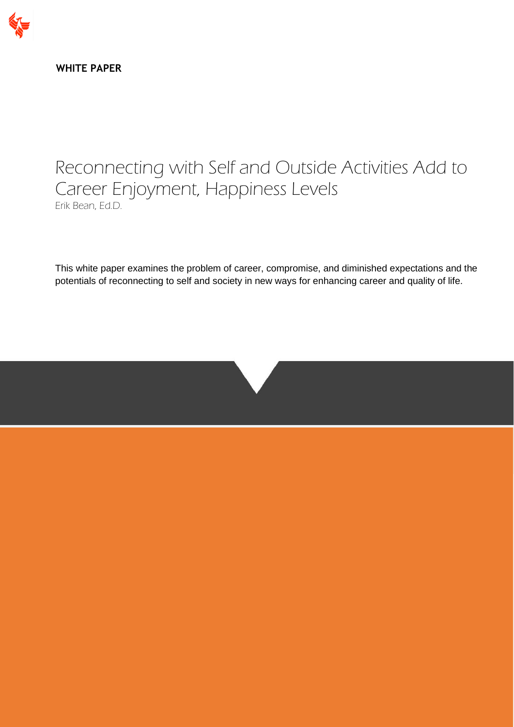

**WHITE PAPER**

# Reconnecting with Self and Outside Activities Add to Career Enjoyment, Happiness Levels Erik Bean, Ed.D.

This white paper examines the problem of career, compromise, and diminished expectations and the potentials of reconnecting to self and society in new ways for enhancing career and quality of life.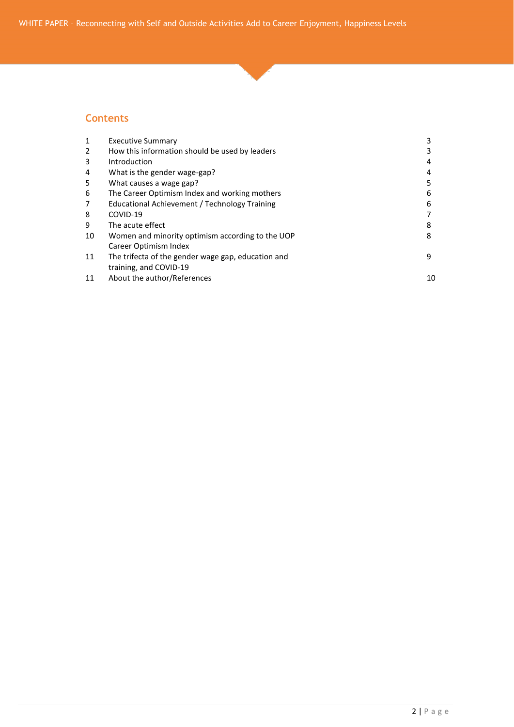#### **Contents**

| <b>Executive Summary</b>                           | 3  |
|----------------------------------------------------|----|
| How this information should be used by leaders     |    |
| Introduction                                       | 4  |
| What is the gender wage-gap?                       | 4  |
| What causes a wage gap?                            |    |
| The Career Optimism Index and working mothers      | 6  |
| Educational Achievement / Technology Training      | 6  |
| COVID-19                                           |    |
| The acute effect                                   | 8  |
| Women and minority optimism according to the UOP   | 8  |
| Career Optimism Index                              |    |
| The trifecta of the gender wage gap, education and | 9  |
| training, and COVID-19                             |    |
| About the author/References                        | 10 |
|                                                    |    |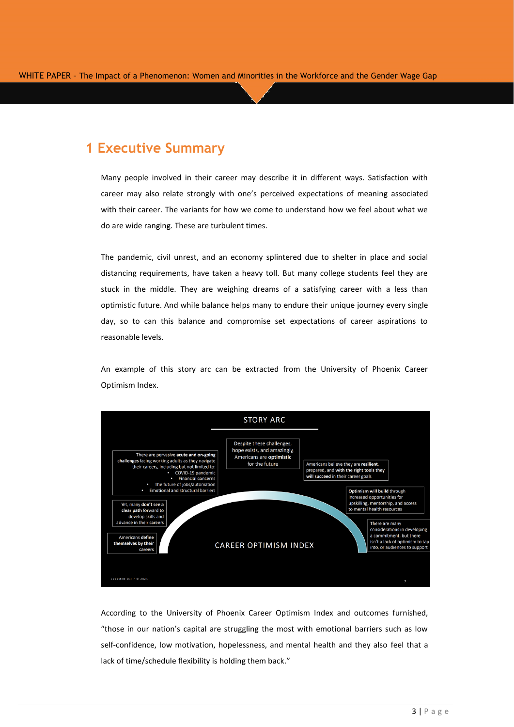# **1 Executive Summary**

Many people involved in their career may describe it in different ways. Satisfaction with career may also relate strongly with one's perceived expectations of meaning associated with their career. The variants for how we come to understand how we feel about what we do are wide ranging. These are turbulent times.

The pandemic, civil unrest, and an economy splintered due to shelter in place and social distancing requirements, have taken a heavy toll. But many college students feel they are stuck in the middle. They are weighing dreams of a satisfying career with a less than optimistic future. And while balance helps many to endure their unique journey every single day, so to can this balance and compromise set expectations of career aspirations to reasonable levels.

An example of this story arc can be extracted from the University of Phoenix Career Optimism Index.



According to the University of Phoenix Career Optimism Index and outcomes furnished, "those in our nation's capital are struggling the most with emotional barriers such as low self-confidence, low motivation, hopelessness, and mental health and they also feel that a lack of time/schedule flexibility is holding them back."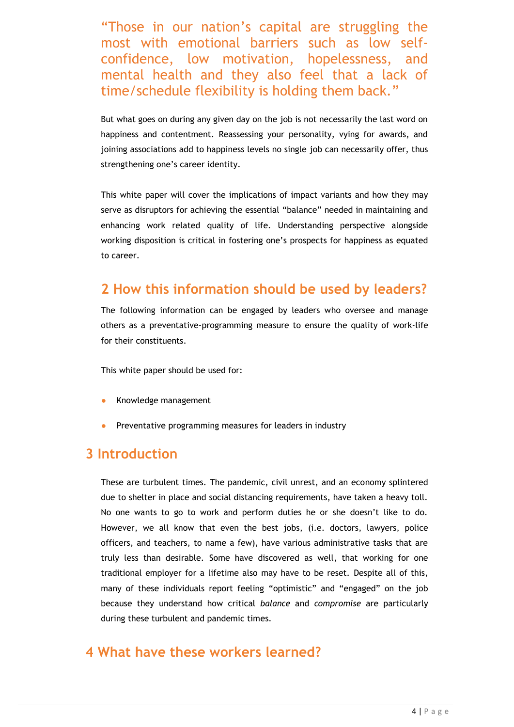"Those in our nation's capital are struggling the most with emotional barriers such as low selfconfidence, low motivation, hopelessness, and mental health and they also feel that a lack of time/schedule flexibility is holding them back."

But what goes on during any given day on the job is not necessarily the last word on happiness and contentment. Reassessing your personality, vying for awards, and joining associations add to happiness levels no single job can necessarily offer, thus strengthening one's career identity.

This white paper will cover the implications of impact variants and how they may serve as disruptors for achieving the essential "balance" needed in maintaining and enhancing work related quality of life. Understanding perspective alongside working disposition is critical in fostering one's prospects for happiness as equated to career.

## **2 How this information should be used by leaders?**

The following information can be engaged by leaders who oversee and manage others as a preventative-programming measure to ensure the quality of work-life for their constituents.

This white paper should be used for:

- Knowledge management
- Preventative programming measures for leaders in industry

#### **3 Introduction**

These are turbulent times. The pandemic, civil unrest, and an economy splintered due to shelter in place and social distancing requirements, have taken a heavy toll. No one wants to go to work and perform duties he or she doesn't like to do. However, we all know that even the best jobs, (i.e. doctors, lawyers, police officers, and teachers, to name a few), have various administrative tasks that are truly less than desirable. Some have discovered as well, that working for one traditional employer for a lifetime also may have to be reset. Despite all of this, many of these individuals report feeling "optimistic" and "engaged" on the job because they understand how critical *balance* and *compromise* are particularly during these turbulent and pandemic times.

### **4 What have these workers learned?**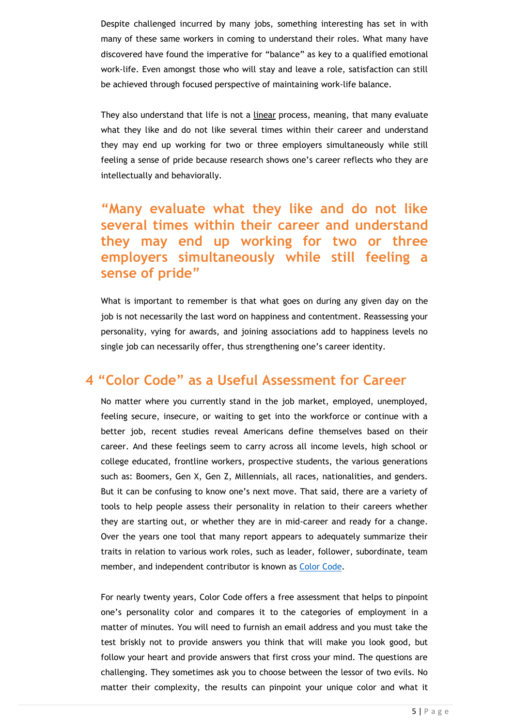Despite challenged incurred by many jobs, something interesting has set in with many of these same workers in coming to understand their roles. What many have discovered have found the imperative for "balance" as key to a qualified emotional work-life. Even amongst those who will stay and leave a role, satisfaction can still be achieved through focused perspective of maintaining work-life balance.

They also understand that life is not a linear process, meaning, that many evaluate what they like and do not like several times within their career and understand they may end up working for two or three employers simultaneously while still feeling a sense of pride because research shows one's career reflects who they are intellectually and behaviorally.

# **"Many evaluate what they like and do not like several times within their career and understand they may end up working for two or three employers simultaneously while still feeling a sense of pride"**

What is important to remember is that what goes on during any given day on the job is not necessarily the last word on happiness and contentment. Reassessing your personality, vying for awards, and joining associations add to happiness levels no single job can necessarily offer, thus strengthening one's career identity.

#### **4 "Color Code" as a Useful Assessment for Career**

No matter where you currently stand in the job market, employed, unemployed, feeling secure, insecure, or waiting to get into the workforce or continue with a better job, recent studies reveal Americans define themselves based on their career. And these feelings seem to carry across all income levels, high school or college educated, frontline workers, prospective students, the various generations such as: Boomers, Gen X, Gen Z, Millennials, all races, nationalities, and genders. But it can be confusing to know one's next move. That said, there are a variety of tools to help people assess their personality in relation to their careers whether they are starting out, or whether they are in mid-career and ready for a change. Over the years one tool that many report appears to adequately summarize their traits in relation to various work roles, such as leader, follower, subordinate, team member, and independent contributor is known as [Color Code.](https://www.colorcode.com/)

For nearly twenty years, Color Code offers a free assessment that helps to pinpoint one's personality color and compares it to the categories of employment in a matter of minutes. You will need to furnish an email address and you must take the test briskly not to provide answers you think that will make you look good, but follow your heart and provide answers that first cross your mind. The questions are challenging. They sometimes ask you to choose between the lessor of two evils. No matter their complexity, the results can pinpoint your unique color and what it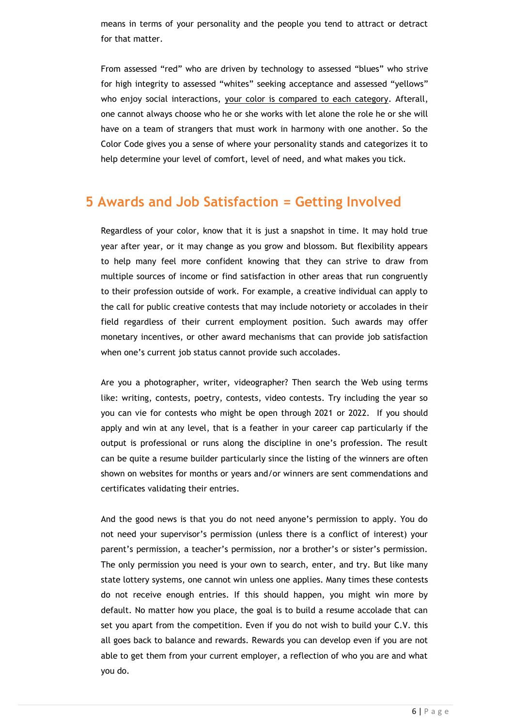means in terms of your personality and the people you tend to attract or detract for that matter.

From assessed "red" who are driven by technology to assessed "blues" who strive for high integrity to assessed "whites" seeking acceptance and assessed "yellows" who enjoy social interactions, your color is compared to each category. Afterall, one cannot always choose who he or she works with let alone the role he or she will have on a team of strangers that must work in harmony with one another. So the Color Code gives you a sense of where your personality stands and categorizes it to help determine your level of comfort, level of need, and what makes you tick.

### **5 Awards and Job Satisfaction = Getting Involved**

Regardless of your color, know that it is just a snapshot in time. It may hold true year after year, or it may change as you grow and blossom. But flexibility appears to help many feel more confident knowing that they can strive to draw from multiple sources of income or find satisfaction in other areas that run congruently to their profession outside of work. For example, a creative individual can apply to the call for public creative contests that may include notoriety or accolades in their field regardless of their current employment position. Such awards may offer monetary incentives, or other award mechanisms that can provide job satisfaction when one's current job status cannot provide such accolades.

Are you a photographer, writer, videographer? Then search the Web using terms like: writing, contests, poetry, contests, video contests. Try including the year so you can vie for contests who might be open through 2021 or 2022. If you should apply and win at any level, that is a feather in your career cap particularly if the output is professional or runs along the discipline in one's profession. The result can be quite a resume builder particularly since the listing of the winners are often shown on websites for months or years and/or winners are sent commendations and certificates validating their entries.

And the good news is that you do not need anyone's permission to apply. You do not need your supervisor's permission (unless there is a conflict of interest) your parent's permission, a teacher's permission, nor a brother's or sister's permission. The only permission you need is your own to search, enter, and try. But like many state lottery systems, one cannot win unless one applies. Many times these contests do not receive enough entries. If this should happen, you might win more by default. No matter how you place, the goal is to build a resume accolade that can set you apart from the competition. Even if you do not wish to build your C.V. this all goes back to balance and rewards. Rewards you can develop even if you are not able to get them from your current employer, a reflection of who you are and what you do.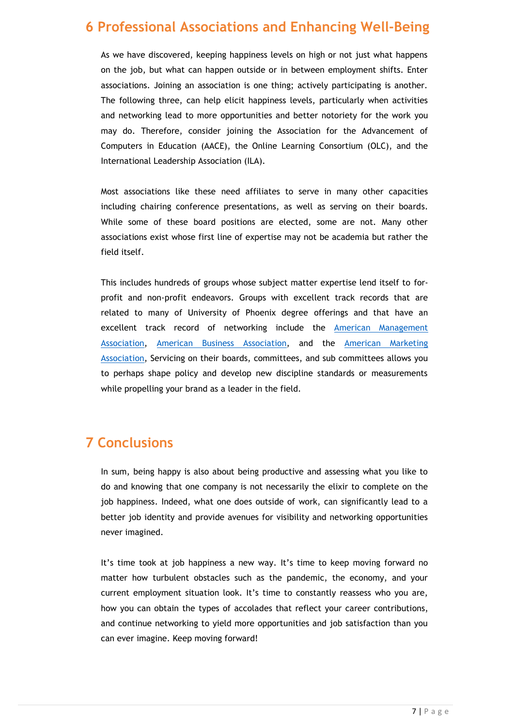# **6 Professional Associations and Enhancing Well-Being**

As we have discovered, keeping happiness levels on high or not just what happens on the job, but what can happen outside or in between employment shifts. Enter associations. Joining an association is one thing; actively participating is another. The following three, can help elicit happiness levels, particularly when activities and networking lead to more opportunities and better notoriety for the work you may do. Therefore, consider joining the Association for the Advancement of Computers in Education (AACE), the Online Learning Consortium (OLC), and the International Leadership Association (ILA).

Most associations like these need affiliates to serve in many other capacities including chairing conference presentations, as well as serving on their boards. While some of these board positions are elected, some are not. Many other associations exist whose first line of expertise may not be academia but rather the field itself.

This includes hundreds of groups whose subject matter expertise lend itself to forprofit and non-profit endeavors. Groups with excellent track records that are related to many of University of Phoenix degree offerings and that have an excellent track record of networking include the [American Management](https://www.amanet.org/)  [Association,](https://www.amanet.org/) American [Business Association,](https://americanbusinessweb.org/) and the [American Marketing](https://www.ama.org/)  [Association,](https://www.ama.org/) Servicing on their boards, committees, and sub committees allows you to perhaps shape policy and develop new discipline standards or measurements while propelling your brand as a leader in the field.

# **7 Conclusions**

In sum, being happy is also about being productive and assessing what you like to do and knowing that one company is not necessarily the elixir to complete on the job happiness. Indeed, what one does outside of work, can significantly lead to a better job identity and provide avenues for visibility and networking opportunities never imagined.

It's time took at job happiness a new way. It's time to keep moving forward no matter how turbulent obstacles such as the pandemic, the economy, and your current employment situation look. It's time to constantly reassess who you are, how you can obtain the types of accolades that reflect your career contributions, and continue networking to yield more opportunities and job satisfaction than you can ever imagine. Keep moving forward!